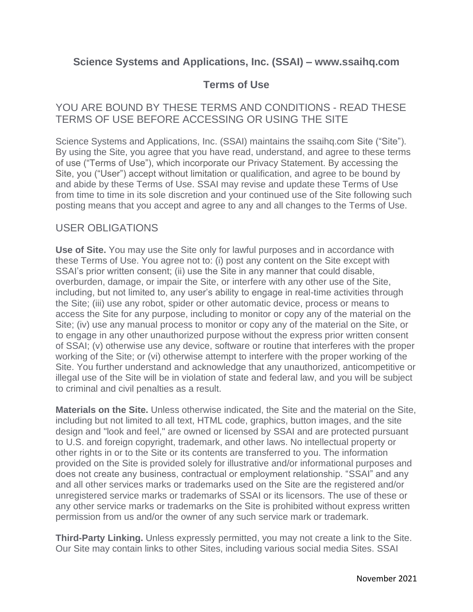# **Science Systems and Applications, Inc. (SSAI) – www.ssaihq.com**

# **Terms of Use**

## YOU ARE BOUND BY THESE TERMS AND CONDITIONS - READ THESE TERMS OF USE BEFORE ACCESSING OR USING THE SITE

Science Systems and Applications, Inc. (SSAI) maintains the ssaihq.com Site ("Site"). By using the Site, you agree that you have read, understand, and agree to these terms of use ("Terms of Use"), which incorporate our Privacy Statement. By accessing the Site, you ("User") accept without limitation or qualification, and agree to be bound by and abide by these Terms of Use. SSAI may revise and update these Terms of Use from time to time in its sole discretion and your continued use of the Site following such posting means that you accept and agree to any and all changes to the Terms of Use.

#### USER OBLIGATIONS

**Use of Site.** You may use the Site only for lawful purposes and in accordance with these Terms of Use. You agree not to: (i) post any content on the Site except with SSAI's prior written consent; (ii) use the Site in any manner that could disable, overburden, damage, or impair the Site, or interfere with any other use of the Site, including, but not limited to, any user's ability to engage in real-time activities through the Site; (iii) use any robot, spider or other automatic device, process or means to access the Site for any purpose, including to monitor or copy any of the material on the Site; (iv) use any manual process to monitor or copy any of the material on the Site, or to engage in any other unauthorized purpose without the express prior written consent of SSAI; (v) otherwise use any device, software or routine that interferes with the proper working of the Site; or (vi) otherwise attempt to interfere with the proper working of the Site. You further understand and acknowledge that any unauthorized, anticompetitive or illegal use of the Site will be in violation of state and federal law, and you will be subject to criminal and civil penalties as a result.

**Materials on the Site.** Unless otherwise indicated, the Site and the material on the Site, including but not limited to all text, HTML code, graphics, button images, and the site design and "look and feel," are owned or licensed by SSAI and are protected pursuant to U.S. and foreign copyright, trademark, and other laws. No intellectual property or other rights in or to the Site or its contents are transferred to you. The information provided on the Site is provided solely for illustrative and/or informational purposes and does not create any business, contractual or employment relationship. "SSAI" and any and all other services marks or trademarks used on the Site are the registered and/or unregistered service marks or trademarks of SSAI or its licensors. The use of these or any other service marks or trademarks on the Site is prohibited without express written permission from us and/or the owner of any such service mark or trademark.

**Third-Party Linking.** Unless expressly permitted, you may not create a link to the Site. Our Site may contain links to other Sites, including various social media Sites. SSAI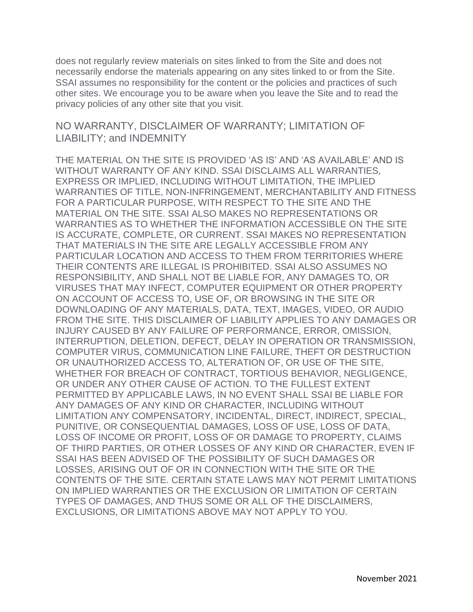does not regularly review materials on sites linked to from the Site and does not necessarily endorse the materials appearing on any sites linked to or from the Site. SSAI assumes no responsibility for the content or the policies and practices of such other sites. We encourage you to be aware when you leave the Site and to read the privacy policies of any other site that you visit.

#### NO WARRANTY, DISCLAIMER OF WARRANTY; LIMITATION OF LIABILITY; and INDEMNITY

THE MATERIAL ON THE SITE IS PROVIDED 'AS IS' AND 'AS AVAILABLE' AND IS WITHOUT WARRANTY OF ANY KIND. SSAI DISCLAIMS ALL WARRANTIES, EXPRESS OR IMPLIED, INCLUDING WITHOUT LIMITATION, THE IMPLIED WARRANTIES OF TITLE, NON-INFRINGEMENT, MERCHANTABILITY AND FITNESS FOR A PARTICULAR PURPOSE, WITH RESPECT TO THE SITE AND THE MATERIAL ON THE SITE. SSAI ALSO MAKES NO REPRESENTATIONS OR WARRANTIES AS TO WHETHER THE INFORMATION ACCESSIBLE ON THE SITE IS ACCURATE, COMPLETE, OR CURRENT. SSAI MAKES NO REPRESENTATION THAT MATERIALS IN THE SITE ARE LEGALLY ACCESSIBLE FROM ANY PARTICULAR LOCATION AND ACCESS TO THEM FROM TERRITORIES WHERE THEIR CONTENTS ARE ILLEGAL IS PROHIBITED. SSAI ALSO ASSUMES NO RESPONSIBILITY, AND SHALL NOT BE LIABLE FOR, ANY DAMAGES TO, OR VIRUSES THAT MAY INFECT, COMPUTER EQUIPMENT OR OTHER PROPERTY ON ACCOUNT OF ACCESS TO, USE OF, OR BROWSING IN THE SITE OR DOWNLOADING OF ANY MATERIALS, DATA, TEXT, IMAGES, VIDEO, OR AUDIO FROM THE SITE. THIS DISCLAIMER OF LIABILITY APPLIES TO ANY DAMAGES OR INJURY CAUSED BY ANY FAILURE OF PERFORMANCE, ERROR, OMISSION, INTERRUPTION, DELETION, DEFECT, DELAY IN OPERATION OR TRANSMISSION, COMPUTER VIRUS, COMMUNICATION LINE FAILURE, THEFT OR DESTRUCTION OR UNAUTHORIZED ACCESS TO, ALTERATION OF, OR USE OF THE SITE, WHETHER FOR BREACH OF CONTRACT, TORTIOUS BEHAVIOR, NEGLIGENCE, OR UNDER ANY OTHER CAUSE OF ACTION. TO THE FULLEST EXTENT PERMITTED BY APPLICABLE LAWS, IN NO EVENT SHALL SSAI BE LIABLE FOR ANY DAMAGES OF ANY KIND OR CHARACTER, INCLUDING WITHOUT LIMITATION ANY COMPENSATORY, INCIDENTAL, DIRECT, INDIRECT, SPECIAL, PUNITIVE, OR CONSEQUENTIAL DAMAGES, LOSS OF USE, LOSS OF DATA, LOSS OF INCOME OR PROFIT, LOSS OF OR DAMAGE TO PROPERTY, CLAIMS OF THIRD PARTIES, OR OTHER LOSSES OF ANY KIND OR CHARACTER, EVEN IF SSAI HAS BEEN ADVISED OF THE POSSIBILITY OF SUCH DAMAGES OR LOSSES, ARISING OUT OF OR IN CONNECTION WITH THE SITE OR THE CONTENTS OF THE SITE. CERTAIN STATE LAWS MAY NOT PERMIT LIMITATIONS ON IMPLIED WARRANTIES OR THE EXCLUSION OR LIMITATION OF CERTAIN TYPES OF DAMAGES, AND THUS SOME OR ALL OF THE DISCLAIMERS, EXCLUSIONS, OR LIMITATIONS ABOVE MAY NOT APPLY TO YOU.